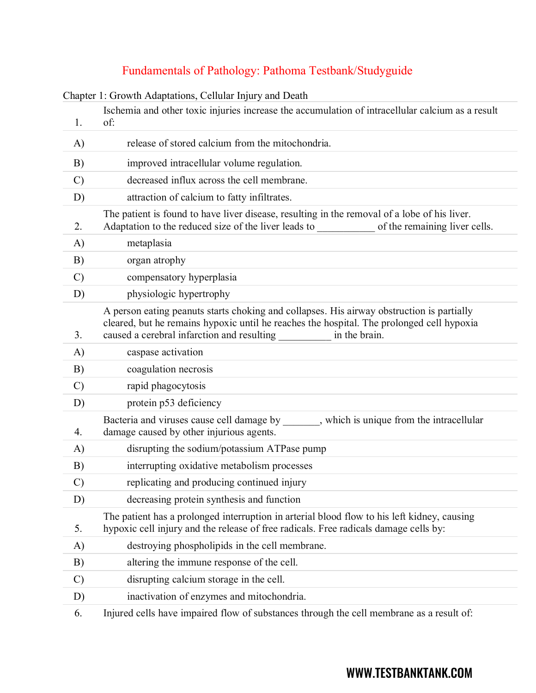# Fundamentals of Pathology: Pathoma Testbank/Studyguide

|               | Chapter 1: Growth Adaptations, Cellular Injury and Death                                                                                                                                                                                              |
|---------------|-------------------------------------------------------------------------------------------------------------------------------------------------------------------------------------------------------------------------------------------------------|
| 1.            | Ischemia and other toxic injuries increase the accumulation of intracellular calcium as a result<br>of:                                                                                                                                               |
| A)            | release of stored calcium from the mitochondria.                                                                                                                                                                                                      |
| B)            | improved intracellular volume regulation.                                                                                                                                                                                                             |
| $\mathcal{C}$ | decreased influx across the cell membrane.                                                                                                                                                                                                            |
| D)            | attraction of calcium to fatty infiltrates.                                                                                                                                                                                                           |
| 2.            | The patient is found to have liver disease, resulting in the removal of a lobe of his liver.<br>Adaptation to the reduced size of the liver leads to<br>of the remaining liver cells.                                                                 |
| A)            | metaplasia                                                                                                                                                                                                                                            |
| B)            | organ atrophy                                                                                                                                                                                                                                         |
| $\mathcal{C}$ | compensatory hyperplasia                                                                                                                                                                                                                              |
| D)            | physiologic hypertrophy                                                                                                                                                                                                                               |
| 3.            | A person eating peanuts starts choking and collapses. His airway obstruction is partially<br>cleared, but he remains hypoxic until he reaches the hospital. The prolonged cell hypoxia<br>caused a cerebral infarction and resulting<br>in the brain. |
| A)            | caspase activation                                                                                                                                                                                                                                    |
| B)            | coagulation necrosis                                                                                                                                                                                                                                  |
| $\mathcal{C}$ | rapid phagocytosis                                                                                                                                                                                                                                    |
| D)            | protein p53 deficiency                                                                                                                                                                                                                                |
| 4.            | Bacteria and viruses cause cell damage by , which is unique from the intracellular<br>damage caused by other injurious agents.                                                                                                                        |
| A)            | disrupting the sodium/potassium ATPase pump                                                                                                                                                                                                           |
| B)            | interrupting oxidative metabolism processes                                                                                                                                                                                                           |
| $\mathcal{C}$ | replicating and producing continued injury                                                                                                                                                                                                            |
| D)            | decreasing protein synthesis and function                                                                                                                                                                                                             |
| 5.            | The patient has a prolonged interruption in arterial blood flow to his left kidney, causing<br>hypoxic cell injury and the release of free radicals. Free radicals damage cells by:                                                                   |
| A)            | destroying phospholipids in the cell membrane.                                                                                                                                                                                                        |
| B)            | altering the immune response of the cell.                                                                                                                                                                                                             |
| $\mathcal{C}$ | disrupting calcium storage in the cell.                                                                                                                                                                                                               |
| D)            | inactivation of enzymes and mitochondria.                                                                                                                                                                                                             |
| 6.            | Injured cells have impaired flow of substances through the cell membrane as a result of:                                                                                                                                                              |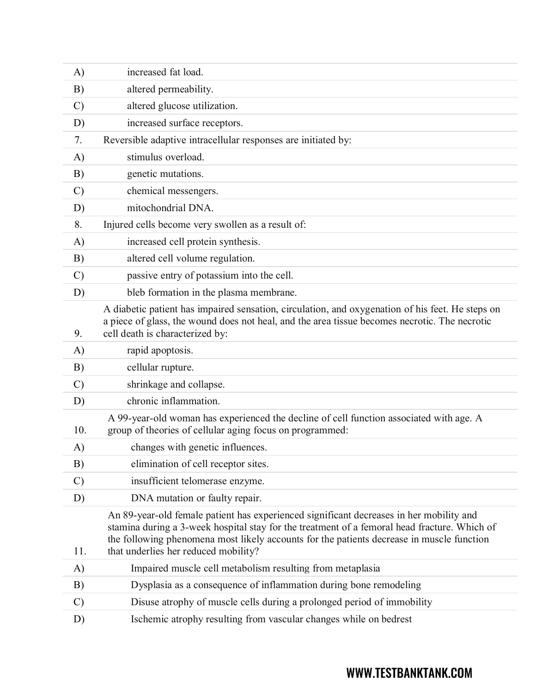| $\mathbf{A}$  | increased fat load.                                                                                                                                                                                                                                                                                                          |
|---------------|------------------------------------------------------------------------------------------------------------------------------------------------------------------------------------------------------------------------------------------------------------------------------------------------------------------------------|
| B)            | altered permeability.                                                                                                                                                                                                                                                                                                        |
| C)            | altered glucose utilization.                                                                                                                                                                                                                                                                                                 |
| D)            | increased surface receptors.                                                                                                                                                                                                                                                                                                 |
| 7.            | Reversible adaptive intracellular responses are initiated by:                                                                                                                                                                                                                                                                |
| A)            | stimulus overload.                                                                                                                                                                                                                                                                                                           |
| B)            | genetic mutations.                                                                                                                                                                                                                                                                                                           |
| $\mathcal{C}$ | chemical messengers.                                                                                                                                                                                                                                                                                                         |
| D)            | mitochondrial DNA.                                                                                                                                                                                                                                                                                                           |
| 8.            | Injured cells become very swollen as a result of:                                                                                                                                                                                                                                                                            |
| A)            | increased cell protein synthesis.                                                                                                                                                                                                                                                                                            |
| B)            | altered cell volume regulation.                                                                                                                                                                                                                                                                                              |
| $\mathcal{C}$ | passive entry of potassium into the cell.                                                                                                                                                                                                                                                                                    |
| D)            | bleb formation in the plasma membrane.                                                                                                                                                                                                                                                                                       |
| 9.            | A diabetic patient has impaired sensation, circulation, and oxygenation of his feet. He steps on<br>a piece of glass, the wound does not heal, and the area tissue becomes necrotic. The necrotic<br>cell death is characterized by:                                                                                         |
| A)            | rapid apoptosis.                                                                                                                                                                                                                                                                                                             |
| B)            | cellular rupture.                                                                                                                                                                                                                                                                                                            |
| $\mathcal{C}$ | shrinkage and collapse.                                                                                                                                                                                                                                                                                                      |
| D)            | chronic inflammation.                                                                                                                                                                                                                                                                                                        |
| 10.           | A 99-year-old woman has experienced the decline of cell function associated with age. A<br>group of theories of cellular aging focus on programmed:                                                                                                                                                                          |
| A)            | changes with genetic influences.                                                                                                                                                                                                                                                                                             |
| B)            | elimination of cell receptor sites.                                                                                                                                                                                                                                                                                          |
| $\mathcal{C}$ | insufficient telomerase enzyme.                                                                                                                                                                                                                                                                                              |
| D)            | DNA mutation or faulty repair.                                                                                                                                                                                                                                                                                               |
| 11.           | An 89-year-old female patient has experienced significant decreases in her mobility and<br>stamina during a 3-week hospital stay for the treatment of a femoral head fracture. Which of<br>the following phenomena most likely accounts for the patients decrease in muscle function<br>that underlies her reduced mobility? |
| A)            | Impaired muscle cell metabolism resulting from metaplasia                                                                                                                                                                                                                                                                    |
| B)            | Dysplasia as a consequence of inflammation during bone remodeling                                                                                                                                                                                                                                                            |
| $\mathcal{C}$ | Disuse atrophy of muscle cells during a prolonged period of immobility                                                                                                                                                                                                                                                       |
| D)            | Ischemic atrophy resulting from vascular changes while on bedrest                                                                                                                                                                                                                                                            |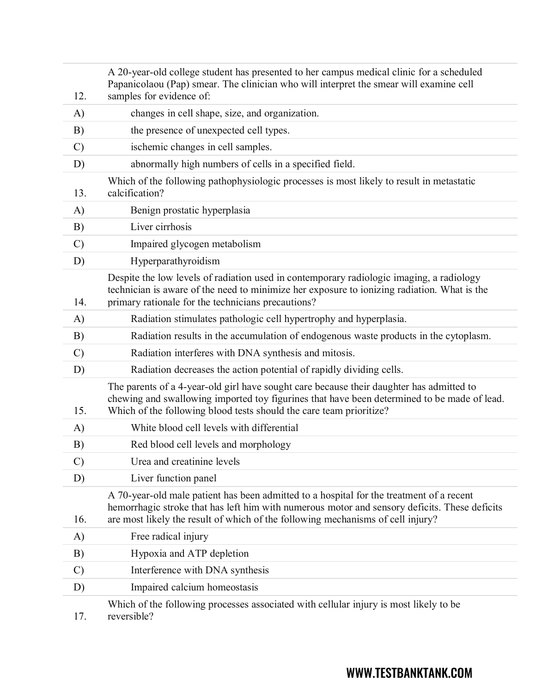| 12.           | A 20-year-old college student has presented to her campus medical clinic for a scheduled<br>Papanicolaou (Pap) smear. The clinician who will interpret the smear will examine cell<br>samples for evidence of:                                                               |
|---------------|------------------------------------------------------------------------------------------------------------------------------------------------------------------------------------------------------------------------------------------------------------------------------|
| A)            | changes in cell shape, size, and organization.                                                                                                                                                                                                                               |
| B)            | the presence of unexpected cell types.                                                                                                                                                                                                                                       |
| $\mathcal{C}$ | ischemic changes in cell samples.                                                                                                                                                                                                                                            |
| D)            | abnormally high numbers of cells in a specified field.                                                                                                                                                                                                                       |
| 13.           | Which of the following pathophysiologic processes is most likely to result in metastatic<br>calcification?                                                                                                                                                                   |
| A)            | Benign prostatic hyperplasia                                                                                                                                                                                                                                                 |
| B)            | Liver cirrhosis                                                                                                                                                                                                                                                              |
| $\mathcal{C}$ | Impaired glycogen metabolism                                                                                                                                                                                                                                                 |
| D)            | Hyperparathyroidism                                                                                                                                                                                                                                                          |
| 14.           | Despite the low levels of radiation used in contemporary radiologic imaging, a radiology<br>technician is aware of the need to minimize her exposure to ionizing radiation. What is the<br>primary rationale for the technicians precautions?                                |
| A)            | Radiation stimulates pathologic cell hypertrophy and hyperplasia.                                                                                                                                                                                                            |
| B)            | Radiation results in the accumulation of endogenous waste products in the cytoplasm.                                                                                                                                                                                         |
| $\mathcal{C}$ | Radiation interferes with DNA synthesis and mitosis.                                                                                                                                                                                                                         |
| D)            | Radiation decreases the action potential of rapidly dividing cells.                                                                                                                                                                                                          |
| 15.           | The parents of a 4-year-old girl have sought care because their daughter has admitted to<br>chewing and swallowing imported toy figurines that have been determined to be made of lead.<br>Which of the following blood tests should the care team prioritize?               |
| A)            | White blood cell levels with differential                                                                                                                                                                                                                                    |
| B)            | Red blood cell levels and morphology                                                                                                                                                                                                                                         |
| $\mathcal{C}$ | Urea and creatinine levels                                                                                                                                                                                                                                                   |
| D)            | Liver function panel                                                                                                                                                                                                                                                         |
| 16.           | A 70-year-old male patient has been admitted to a hospital for the treatment of a recent<br>hemorrhagic stroke that has left him with numerous motor and sensory deficits. These deficits<br>are most likely the result of which of the following mechanisms of cell injury? |
| A)            | Free radical injury                                                                                                                                                                                                                                                          |
| B)            | Hypoxia and ATP depletion                                                                                                                                                                                                                                                    |
| $\mathcal{C}$ | Interference with DNA synthesis                                                                                                                                                                                                                                              |
| D)            | Impaired calcium homeostasis                                                                                                                                                                                                                                                 |
| 17.           | Which of the following processes associated with cellular injury is most likely to be<br>reversible?                                                                                                                                                                         |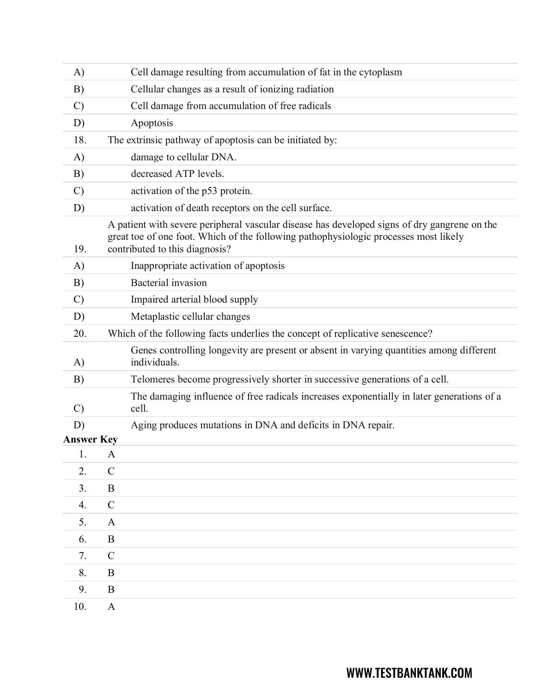| A)                | Cell damage resulting from accumulation of fat in the cytoplasm                                                                                                                                                        |
|-------------------|------------------------------------------------------------------------------------------------------------------------------------------------------------------------------------------------------------------------|
| B)                | Cellular changes as a result of ionizing radiation                                                                                                                                                                     |
| $\mathcal{C}$     | Cell damage from accumulation of free radicals                                                                                                                                                                         |
| D)                | Apoptosis                                                                                                                                                                                                              |
| 18.               | The extrinsic pathway of apoptosis can be initiated by:                                                                                                                                                                |
| A)                | damage to cellular DNA.                                                                                                                                                                                                |
| B)                | decreased ATP levels.                                                                                                                                                                                                  |
| $\mathcal{C}$     | activation of the p53 protein.                                                                                                                                                                                         |
| D)                | activation of death receptors on the cell surface.                                                                                                                                                                     |
| 19.               | A patient with severe peripheral vascular disease has developed signs of dry gangrene on the<br>great toe of one foot. Which of the following pathophysiologic processes most likely<br>contributed to this diagnosis? |
| A)                | Inappropriate activation of apoptosis                                                                                                                                                                                  |
| B)                | <b>Bacterial</b> invasion                                                                                                                                                                                              |
| $\mathcal{C}$     | Impaired arterial blood supply                                                                                                                                                                                         |
| D)                | Metaplastic cellular changes                                                                                                                                                                                           |
| 20.               | Which of the following facts underlies the concept of replicative senescence?                                                                                                                                          |
| A)                | Genes controlling longevity are present or absent in varying quantities among different<br>individuals.                                                                                                                |
| B)                | Telomeres become progressively shorter in successive generations of a cell.                                                                                                                                            |
| $\mathcal{C}$     | The damaging influence of free radicals increases exponentially in later generations of a<br>cell.                                                                                                                     |
| D)                | Aging produces mutations in DNA and deficits in DNA repair.                                                                                                                                                            |
| <b>Answer Key</b> |                                                                                                                                                                                                                        |
| 1. A              |                                                                                                                                                                                                                        |
| 2.                | $\mathsf{C}$                                                                                                                                                                                                           |
| 3.                | $\bf{B}$                                                                                                                                                                                                               |
| 4.                | $\mathcal{C}$                                                                                                                                                                                                          |
| 5.                | A                                                                                                                                                                                                                      |
| 6.                | B                                                                                                                                                                                                                      |
| 7.                | $\mathsf{C}$                                                                                                                                                                                                           |
| 8.                | B                                                                                                                                                                                                                      |
| 9.                | B                                                                                                                                                                                                                      |
| 10.               | $\mathbf{A}$                                                                                                                                                                                                           |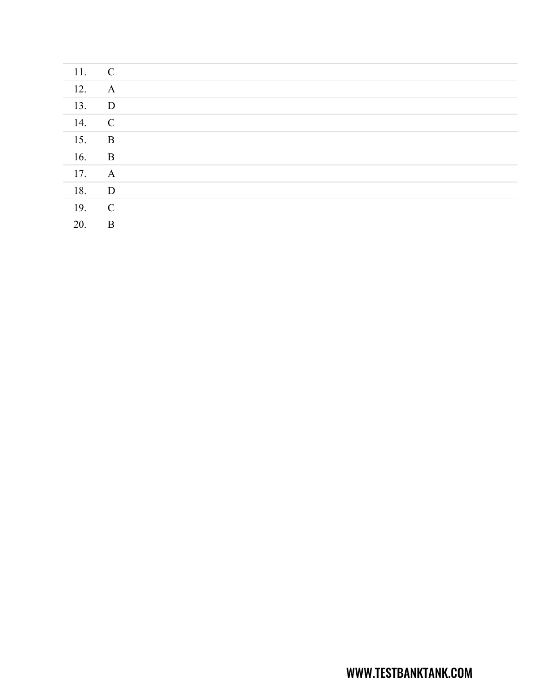| 11. | $\mathbf C$  |  |
|-----|--------------|--|
| 12. | $\mathbf{A}$ |  |
| 13. | $\mathbf{D}$ |  |
| 14. | $\mathbf C$  |  |
| 15. | $\mathbf{B}$ |  |
| 16. | $\mathbf{B}$ |  |
| 17. | $\mathbf{A}$ |  |
| 18. | $\mathbf{D}$ |  |
| 19. | $\mathbf C$  |  |
| 20. | $\mathbf B$  |  |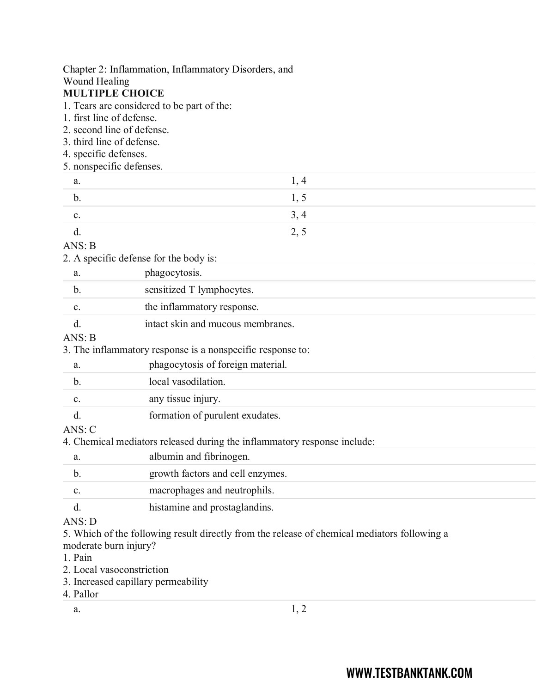## Chapter 2: Inflammation, Inflammatory Disorders, and Wound Healing **MULTIPLE CHOICE** 1. Tears are considered to be part of the: 1. first line of defense. 2. second line of defense. 3. third line of defense. 4. specific defenses. 5. nonspecific defenses. a.  $1, 4$ b.  $1, 5$ c.  $3, 4$ d.  $2, 5$ ANS: B 2. A specific defense for the body is: a. phagocytosis. b. sensitized T lymphocytes. c. the inflammatory response. d. intact skin and mucous membranes. ANS: B 3. The inflammatory response is a nonspecific response to: a. phagocytosis of foreign material. b. local vasodilation. c. any tissue injury. d. formation of purulent exudates. ANS: C 4. Chemical mediators released during the inflammatory response include: a. albumin and fibrinogen. b. growth factors and cell enzymes. c. macrophages and neutrophils. d. histamine and prostaglandins. ANS: D 5. Which of the following result directly from the release of chemical mediators following a moderate burn injury?

- 1. Pain
- 2. Local vasoconstriction
- 3. Increased capillary permeability
- 4. Pallor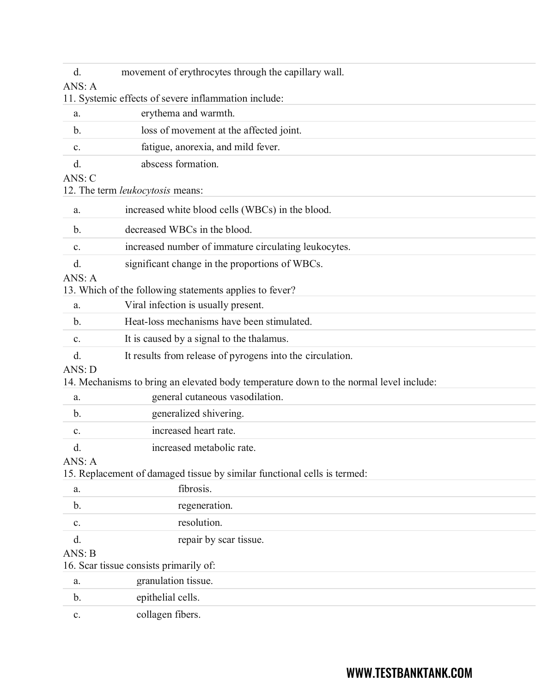| d.            | movement of erythrocytes through the capillary wall.                                   |
|---------------|----------------------------------------------------------------------------------------|
| ANS: A        |                                                                                        |
|               | 11. Systemic effects of severe inflammation include:                                   |
| a.            | erythema and warmth.                                                                   |
| $\mathbf b$ . | loss of movement at the affected joint.                                                |
| c.            | fatigue, anorexia, and mild fever.                                                     |
| d.            | abscess formation.                                                                     |
| ANS: C        |                                                                                        |
|               | 12. The term leukocytosis means:                                                       |
| a.            | increased white blood cells (WBCs) in the blood.                                       |
| b.            | decreased WBCs in the blood.                                                           |
| c.            | increased number of immature circulating leukocytes.                                   |
| d.            | significant change in the proportions of WBCs.                                         |
| ANS: A        |                                                                                        |
|               | 13. Which of the following statements applies to fever?                                |
| a.            | Viral infection is usually present.                                                    |
| $\mathbf b$ . | Heat-loss mechanisms have been stimulated.                                             |
| c.            | It is caused by a signal to the thalamus.                                              |
| d.            | It results from release of pyrogens into the circulation.                              |
| ANS: D        |                                                                                        |
|               | 14. Mechanisms to bring an elevated body temperature down to the normal level include: |
| a.            | general cutaneous vasodilation.                                                        |
| $\mathbf b$ . | generalized shivering.                                                                 |
| c.            | increased heart rate.                                                                  |
| d.            | increased metabolic rate.                                                              |
| ANS: A        |                                                                                        |
|               | 15. Replacement of damaged tissue by similar functional cells is termed:               |
| a.            | fibrosis.                                                                              |
| b.            | regeneration.                                                                          |
| c.            | resolution.                                                                            |
| d.            | repair by scar tissue.                                                                 |
| ANS: B        |                                                                                        |
|               | 16. Scar tissue consists primarily of:                                                 |
| a.            | granulation tissue.                                                                    |
| b.            | epithelial cells.                                                                      |
| c.            | collagen fibers.                                                                       |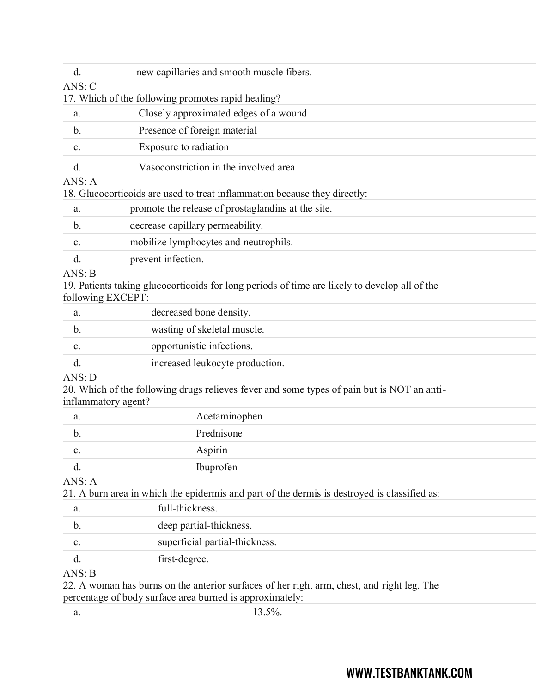| d.                  | new capillaries and smooth muscle fibers.                                                     |
|---------------------|-----------------------------------------------------------------------------------------------|
| ANS: C              |                                                                                               |
|                     | 17. Which of the following promotes rapid healing?                                            |
| a.                  | Closely approximated edges of a wound                                                         |
| $\mathbf b$ .       | Presence of foreign material                                                                  |
| c.                  | Exposure to radiation                                                                         |
| $\rm d$ .           | Vasoconstriction in the involved area                                                         |
| ANS: A              |                                                                                               |
|                     | 18. Glucocorticoids are used to treat inflammation because they directly:                     |
| a.                  | promote the release of prostaglandins at the site.                                            |
| $\mathbf b$ .       | decrease capillary permeability.                                                              |
| c.                  | mobilize lymphocytes and neutrophils.                                                         |
| d.                  | prevent infection.                                                                            |
| ANS: B              |                                                                                               |
| following EXCEPT:   | 19. Patients taking glucocorticoids for long periods of time are likely to develop all of the |
| a.                  | decreased bone density.                                                                       |
| $\mathbf{b}$ .      | wasting of skeletal muscle.                                                                   |
| c.                  | opportunistic infections.                                                                     |
| $\rm d$ .           | increased leukocyte production.                                                               |
| ANS: D              |                                                                                               |
| inflammatory agent? | 20. Which of the following drugs relieves fever and some types of pain but is NOT an anti-    |
| a.                  | Acetaminophen                                                                                 |
| $\mathbf{b}$ .      | Prednisone                                                                                    |
| c.                  | Aspirin                                                                                       |
| d.                  | Ibuprofen                                                                                     |

ANS: A

21. A burn area in which the epidermis and part of the dermis is destroyed is classified as:

| a.                               | full-thickness.                |  |
|----------------------------------|--------------------------------|--|
|                                  | deep partial-thickness.        |  |
| c.                               | superficial partial-thickness. |  |
|                                  | first-degree.                  |  |
| $\lambda$ $\lambda$ TC $\lambda$ |                                |  |

ANS: B

22. A woman has burns on the anterior surfaces of her right arm, chest, and right leg. The percentage of body surface area burned is approximately: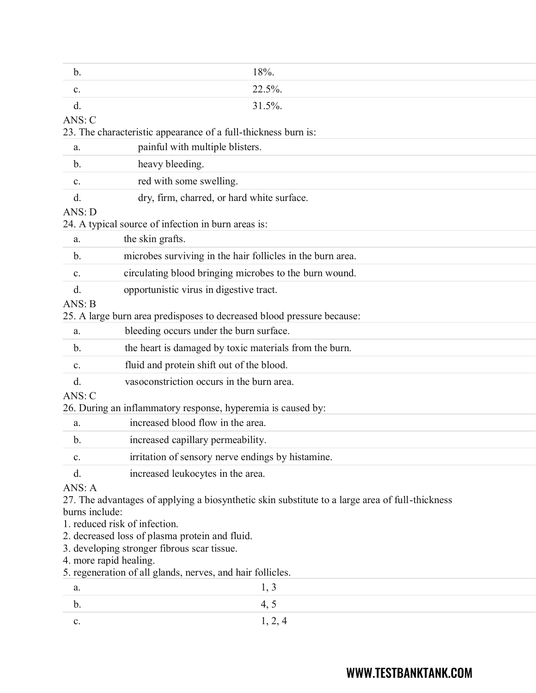| b.             | 18%.                                                                                            |  |
|----------------|-------------------------------------------------------------------------------------------------|--|
| c.             | 22.5%.                                                                                          |  |
| d.             | 31.5%.                                                                                          |  |
| ANS: C         |                                                                                                 |  |
|                | 23. The characteristic appearance of a full-thickness burn is:                                  |  |
| a.             | painful with multiple blisters.                                                                 |  |
| b.             | heavy bleeding.                                                                                 |  |
| c.             | red with some swelling.                                                                         |  |
| d.             | dry, firm, charred, or hard white surface.                                                      |  |
| ANS: D         |                                                                                                 |  |
|                | 24. A typical source of infection in burn areas is:                                             |  |
| a.             | the skin grafts.                                                                                |  |
| b.             | microbes surviving in the hair follicles in the burn area.                                      |  |
| c.             | circulating blood bringing microbes to the burn wound.                                          |  |
| d.             | opportunistic virus in digestive tract.                                                         |  |
| ANS: B         |                                                                                                 |  |
|                | 25. A large burn area predisposes to decreased blood pressure because:                          |  |
| a.             | bleeding occurs under the burn surface.                                                         |  |
| b.             | the heart is damaged by toxic materials from the burn.                                          |  |
| c.             | fluid and protein shift out of the blood.                                                       |  |
| d.             | vasoconstriction occurs in the burn area.                                                       |  |
| ANS: C         |                                                                                                 |  |
|                | 26. During an inflammatory response, hyperemia is caused by:                                    |  |
| a.             | increased blood flow in the area.                                                               |  |
| b.             | increased capillary permeability.                                                               |  |
| c.             | irritation of sensory nerve endings by histamine.                                               |  |
| d.             | increased leukocytes in the area.                                                               |  |
| ANS: A         |                                                                                                 |  |
|                | 27. The advantages of applying a biosynthetic skin substitute to a large area of full-thickness |  |
| burns include: |                                                                                                 |  |
|                | 1. reduced risk of infection.                                                                   |  |
|                | 2. decreased loss of plasma protein and fluid.<br>3. developing stronger fibrous scar tissue.   |  |
|                | 4. more rapid healing.                                                                          |  |
|                | 5. regeneration of all glands, nerves, and hair follicles.                                      |  |
| a.             | 1, 3                                                                                            |  |
| b.             | 4, 5                                                                                            |  |
| c.             | 1, 2, 4                                                                                         |  |
|                |                                                                                                 |  |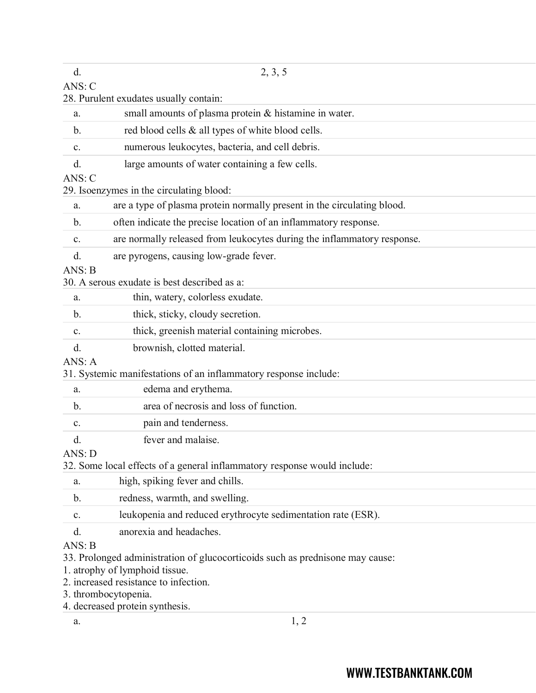| d.            | 2, 3, 5                                                                       |
|---------------|-------------------------------------------------------------------------------|
| ANS: C        | 28. Purulent exudates usually contain:                                        |
| a.            | small amounts of plasma protein & histamine in water.                         |
| $\mathbf b$ . | red blood cells & all types of white blood cells.                             |
| c.            | numerous leukocytes, bacteria, and cell debris.                               |
| d.            | large amounts of water containing a few cells.                                |
| ANS: C        |                                                                               |
|               | 29. Isoenzymes in the circulating blood:                                      |
| a.            | are a type of plasma protein normally present in the circulating blood.       |
| $\mathbf b$ . | often indicate the precise location of an inflammatory response.              |
| c.            | are normally released from leukocytes during the inflammatory response.       |
| d.            | are pyrogens, causing low-grade fever.                                        |
| ANS: B        |                                                                               |
|               | 30. A serous exudate is best described as a:                                  |
| a.            | thin, watery, colorless exudate.                                              |
| b.            | thick, sticky, cloudy secretion.                                              |
| c.            | thick, greenish material containing microbes.                                 |
| d.            | brownish, clotted material.                                                   |
| ANS: A        | 31. Systemic manifestations of an inflammatory response include:              |
| a.            | edema and erythema.                                                           |
| b.            | area of necrosis and loss of function.                                        |
|               | pain and tenderness.                                                          |
| c.            | fever and malaise.                                                            |
| d.<br>ANS: D  |                                                                               |
|               | 32. Some local effects of a general inflammatory response would include:      |
| a.            | high, spiking fever and chills.                                               |
| b.            | redness, warmth, and swelling.                                                |
| c.            | leukopenia and reduced erythrocyte sedimentation rate (ESR).                  |
| d.            | anorexia and headaches.                                                       |
| ANS: B        |                                                                               |
|               | 33. Prolonged administration of glucocorticoids such as prednisone may cause: |
|               | 1. atrophy of lymphoid tissue.                                                |
|               | 2. increased resistance to infection.<br>3. thrombocytopenia.                 |
|               | 4. decreased protein synthesis.                                               |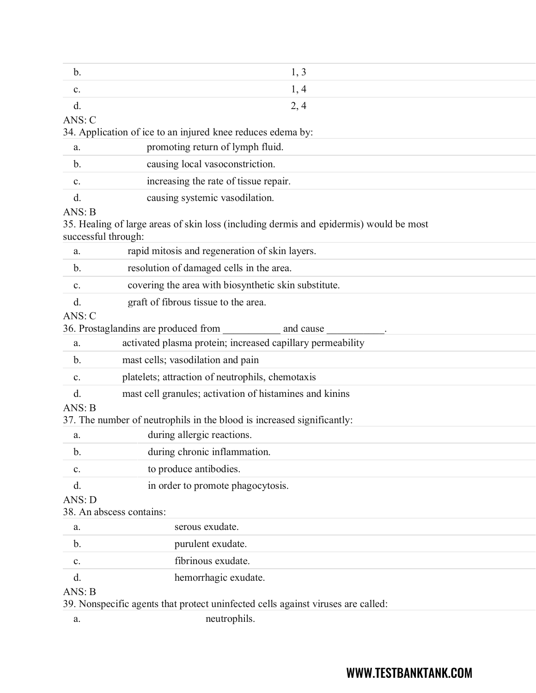| $\mathbf b$ .                 | 1, 3                                                                                   |
|-------------------------------|----------------------------------------------------------------------------------------|
| $\mathbf{c}$ .                | 1, 4                                                                                   |
| d.                            | 2, 4                                                                                   |
| ANS: C                        |                                                                                        |
|                               | 34. Application of ice to an injured knee reduces edema by:                            |
| a.                            | promoting return of lymph fluid.                                                       |
| $\mathbf b$ .                 | causing local vasoconstriction.                                                        |
| c.                            | increasing the rate of tissue repair.                                                  |
| d.                            | causing systemic vasodilation.                                                         |
| ANS: B<br>successful through: | 35. Healing of large areas of skin loss (including dermis and epidermis) would be most |
| a.                            | rapid mitosis and regeneration of skin layers.                                         |
| b.                            | resolution of damaged cells in the area.                                               |
| c.                            | covering the area with biosynthetic skin substitute.                                   |
| d.                            | graft of fibrous tissue to the area.                                                   |
| ANS: C                        |                                                                                        |
|                               | 36. Prostaglandins are produced from<br>and cause                                      |
| a.                            | activated plasma protein; increased capillary permeability                             |
| $\mathbf b$ .                 | mast cells; vasodilation and pain                                                      |
| c.                            | platelets; attraction of neutrophils, chemotaxis                                       |
| d.                            | mast cell granules; activation of histamines and kinins                                |
| ANS: B                        |                                                                                        |
|                               | 37. The number of neutrophils in the blood is increased significantly:                 |
| a.                            | during allergic reactions.                                                             |
| $\mathbf{b}$ .                | during chronic inflammation.                                                           |
| $\mathbf{C}.$                 | to produce antibodies.                                                                 |
| d.                            | in order to promote phagocytosis.                                                      |
| ANS: D                        |                                                                                        |
|                               | 38. An abscess contains:                                                               |
| a.                            | serous exudate.                                                                        |
| $b$ .                         | purulent exudate.                                                                      |
| $\mathbf{c}$ .                | fibrinous exudate.                                                                     |
| d.                            | hemorrhagic exudate.                                                                   |
| ANS: B                        | 39. Nonspecific agents that protect uninfected cells against viruses are called:       |

a. neutrophils.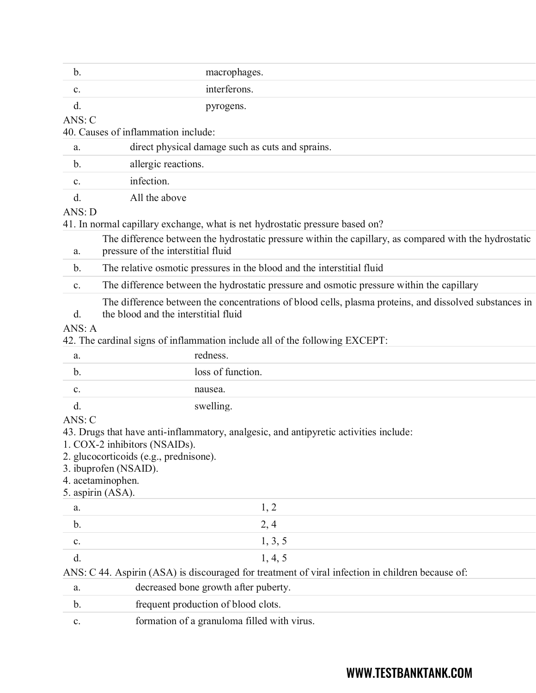| b.             | macrophages.                                                                                                                                   |
|----------------|------------------------------------------------------------------------------------------------------------------------------------------------|
| c.             | interferons.                                                                                                                                   |
| d.             | pyrogens.                                                                                                                                      |
| ANS: C         |                                                                                                                                                |
|                | 40. Causes of inflammation include:                                                                                                            |
| a.             | direct physical damage such as cuts and sprains.                                                                                               |
| b.             | allergic reactions.                                                                                                                            |
| c.             | infection.                                                                                                                                     |
| d.             | All the above                                                                                                                                  |
| ANS: D         |                                                                                                                                                |
|                | 41. In normal capillary exchange, what is net hydrostatic pressure based on?                                                                   |
| a.             | The difference between the hydrostatic pressure within the capillary, as compared with the hydrostatic<br>pressure of the interstitial fluid   |
| $\mathbf b$ .  | The relative osmotic pressures in the blood and the interstitial fluid                                                                         |
| c.             | The difference between the hydrostatic pressure and osmotic pressure within the capillary                                                      |
| d.<br>ANS: A   | The difference between the concentrations of blood cells, plasma proteins, and dissolved substances in<br>the blood and the interstitial fluid |
|                | 42. The cardinal signs of inflammation include all of the following EXCEPT:                                                                    |
| a.             | redness.                                                                                                                                       |
| b.             | loss of function.                                                                                                                              |
| $\mathbf{C}$ . | nausea.                                                                                                                                        |
| d.             | swelling.                                                                                                                                      |
| ANS: C         |                                                                                                                                                |
|                | 43. Drugs that have anti-inflammatory, analgesic, and antipyretic activities include:<br>1. COX-2 inhibitors (NSAIDs).                         |
|                | 2. glucocorticoids (e.g., prednisone).                                                                                                         |
|                | 3. ibuprofen (NSAID).                                                                                                                          |
|                | 4. acetaminophen.                                                                                                                              |
|                | 5. aspirin (ASA).                                                                                                                              |
| a.             | 1, 2                                                                                                                                           |
| b.             | 2, 4                                                                                                                                           |
| $\mathbf{C}$ . | 1, 3, 5                                                                                                                                        |
| d.             | 1, 4, 5                                                                                                                                        |
|                | ANS: C 44. Aspirin (ASA) is discouraged for treatment of viral infection in children because of:                                               |
| a.             | decreased bone growth after puberty.                                                                                                           |
| b.             | frequent production of blood clots.                                                                                                            |
|                |                                                                                                                                                |

c. formation of a granuloma filled with virus.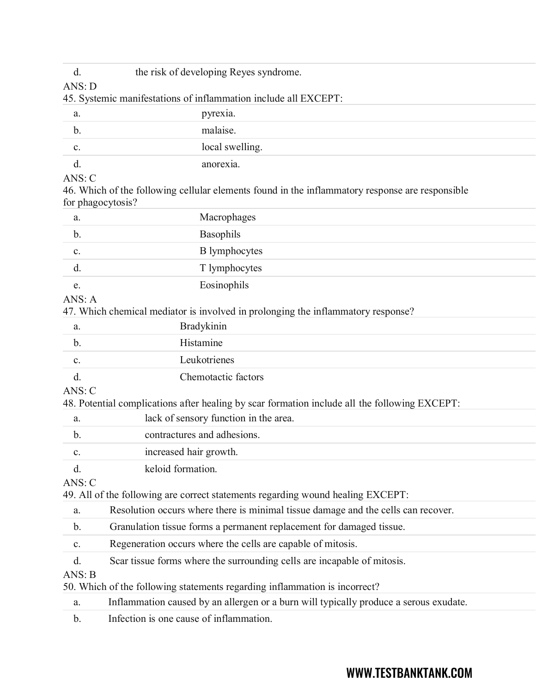| d.<br>ANS: D      | the risk of developing Reyes syndrome.                                                          |
|-------------------|-------------------------------------------------------------------------------------------------|
|                   | 45. Systemic manifestations of inflammation include all EXCEPT:                                 |
| a.                | pyrexia.                                                                                        |
| $\mathbf b$ .     | malaise.                                                                                        |
| c.                | local swelling.                                                                                 |
| d.                | anorexia.                                                                                       |
| ANS: C            |                                                                                                 |
| for phagocytosis? | 46. Which of the following cellular elements found in the inflammatory response are responsible |
| a.                | Macrophages                                                                                     |
| b.                | Basophils                                                                                       |
| c.                | <b>B</b> lymphocytes                                                                            |
| d.                | T lymphocytes                                                                                   |
| e.                | Eosinophils                                                                                     |
| ANS: A            |                                                                                                 |
|                   | 47. Which chemical mediator is involved in prolonging the inflammatory response?                |
| a.                | <b>Bradykinin</b>                                                                               |
| $\mathbf b$ .     | Histamine                                                                                       |
| $\mathbf{C}$ .    | Leukotrienes                                                                                    |
| d.                | Chemotactic factors                                                                             |
| ANS: C            |                                                                                                 |
|                   | 48. Potential complications after healing by scar formation include all the following EXCEPT:   |
| a.                | lack of sensory function in the area.                                                           |
| b.                | contractures and adhesions.                                                                     |
| c.                | increased hair growth.                                                                          |
| d.                | keloid formation.                                                                               |
| ANS: C            |                                                                                                 |
|                   | 49. All of the following are correct statements regarding wound healing EXCEPT:                 |
| a.                | Resolution occurs where there is minimal tissue damage and the cells can recover.               |
| b.                | Granulation tissue forms a permanent replacement for damaged tissue.                            |
| $\mathbf{C}$ .    | Regeneration occurs where the cells are capable of mitosis.                                     |
| d.                | Scar tissue forms where the surrounding cells are incapable of mitosis.                         |
| NIC.              |                                                                                                 |

ANS: B

50. Which of the following statements regarding inflammation is incorrect?

a. Inflammation caused by an allergen or a burn will typically produce a serous exudate.

b. Infection is one cause of inflammation.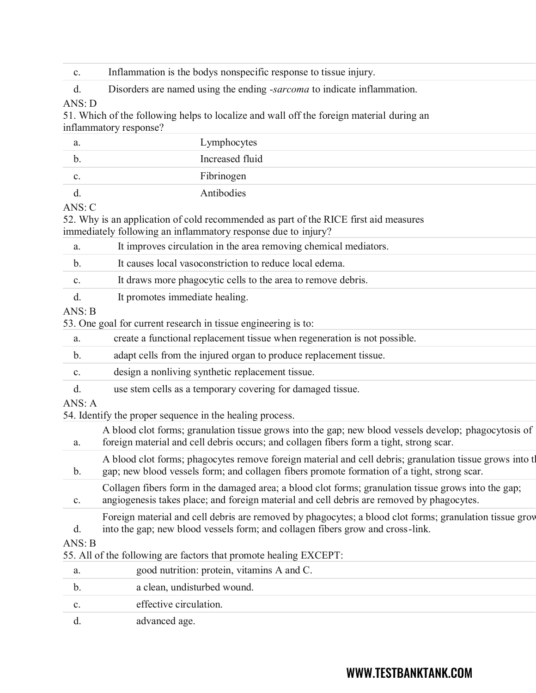| C. |  | Inflammation is the bodys nonspecific response to tissue injury. |  |
|----|--|------------------------------------------------------------------|--|
|    |  |                                                                  |  |

d. Disorders are named using the ending *-sarcoma* to indicate inflammation.

### ANS: D

51. Which of the following helps to localize and wall off the foreign material during an inflammatory response?

| a.              | Lymphocytes     |
|-----------------|-----------------|
| $\mathfrak{b}.$ | Increased fluid |
| c.              | Fibrinogen      |
|                 | Antibodies      |

#### ANS: C

d. advanced age.

52. Why is an application of cold recommended as part of the RICE first aid measures immediately following an inflammatory response due to injury? a. It improves circulation in the area removing chemical mediators.

| a.             | It improves circulation in the area removing chemical mediators.                                                                                                                                         |
|----------------|----------------------------------------------------------------------------------------------------------------------------------------------------------------------------------------------------------|
| $\mathbf b$ .  | It causes local vasoconstriction to reduce local edema.                                                                                                                                                  |
| c.             | It draws more phagocytic cells to the area to remove debris.                                                                                                                                             |
| d.             | It promotes immediate healing.                                                                                                                                                                           |
| ANS: B         |                                                                                                                                                                                                          |
|                | 53. One goal for current research in tissue engineering is to:                                                                                                                                           |
| a.             | create a functional replacement tissue when regeneration is not possible.                                                                                                                                |
| $\mathbf{b}$ . | adapt cells from the injured organ to produce replacement tissue.                                                                                                                                        |
| c.             | design a nonliving synthetic replacement tissue.                                                                                                                                                         |
| d.             | use stem cells as a temporary covering for damaged tissue.                                                                                                                                               |
| ANS: A         |                                                                                                                                                                                                          |
|                | 54. Identify the proper sequence in the healing process.                                                                                                                                                 |
| a.             | A blood clot forms; granulation tissue grows into the gap; new blood vessels develop; phagocytosis of<br>foreign material and cell debris occurs; and collagen fibers form a tight, strong scar.         |
| $\mathbf{b}$ . | A blood clot forms; phagocytes remove foreign material and cell debris; granulation tissue grows into the<br>gap; new blood vessels form; and collagen fibers promote formation of a tight, strong scar. |
| $\mathbf{c}.$  | Collagen fibers form in the damaged area; a blood clot forms; granulation tissue grows into the gap;<br>angiogenesis takes place; and foreign material and cell debris are removed by phagocytes.        |
| d.             | Foreign material and cell debris are removed by phagocytes; a blood clot forms; granulation tissue grov<br>into the gap; new blood vessels form; and collagen fibers grow and cross-link.                |
| ANS: B         |                                                                                                                                                                                                          |
|                | 55. All of the following are factors that promote healing EXCEPT:                                                                                                                                        |
| a.             | good nutrition: protein, vitaming A and C.                                                                                                                                                               |
| b.             | a clean, undisturbed wound.                                                                                                                                                                              |
| c.             | effective circulation.                                                                                                                                                                                   |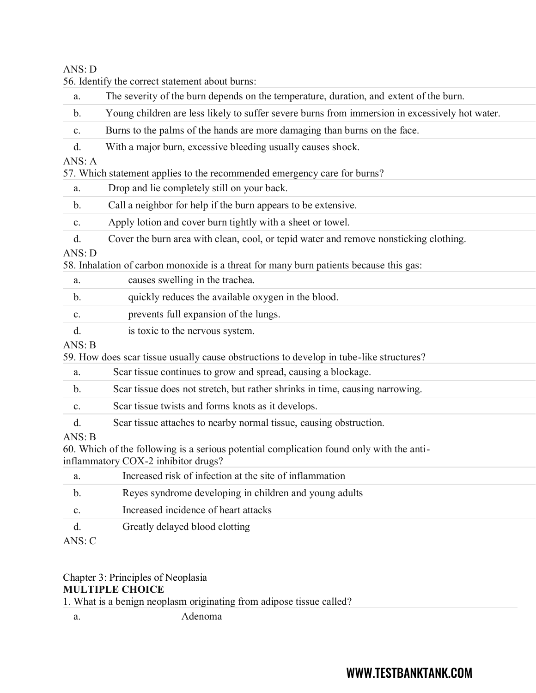#### ANS: D

|                | 56. Identify the correct statement about burns:                                                                                 |  |  |  |  |  |
|----------------|---------------------------------------------------------------------------------------------------------------------------------|--|--|--|--|--|
| a.             | The severity of the burn depends on the temperature, duration, and extent of the burn.                                          |  |  |  |  |  |
| b.             | Young children are less likely to suffer severe burns from immersion in excessively hot water.                                  |  |  |  |  |  |
| c.             | Burns to the palms of the hands are more damaging than burns on the face.                                                       |  |  |  |  |  |
| d.             | With a major burn, excessive bleeding usually causes shock.                                                                     |  |  |  |  |  |
| ANS: A         |                                                                                                                                 |  |  |  |  |  |
|                | 57. Which statement applies to the recommended emergency care for burns?                                                        |  |  |  |  |  |
| a.             | Drop and lie completely still on your back.                                                                                     |  |  |  |  |  |
| b.             | Call a neighbor for help if the burn appears to be extensive.                                                                   |  |  |  |  |  |
| c.             | Apply lotion and cover burn tightly with a sheet or towel.                                                                      |  |  |  |  |  |
| d.             | Cover the burn area with clean, cool, or tepid water and remove nonsticking clothing.                                           |  |  |  |  |  |
| ANS: D         |                                                                                                                                 |  |  |  |  |  |
|                | 58. Inhalation of carbon monoxide is a threat for many burn patients because this gas:                                          |  |  |  |  |  |
| a.             | causes swelling in the trachea.                                                                                                 |  |  |  |  |  |
| $\mathbf{b}$ . | quickly reduces the available oxygen in the blood.                                                                              |  |  |  |  |  |
| c.             | prevents full expansion of the lungs.                                                                                           |  |  |  |  |  |
| d.             | is toxic to the nervous system.                                                                                                 |  |  |  |  |  |
| ANS: B         |                                                                                                                                 |  |  |  |  |  |
|                | 59. How does scar tissue usually cause obstructions to develop in tube-like structures?                                         |  |  |  |  |  |
| a.             | Scar tissue continues to grow and spread, causing a blockage.                                                                   |  |  |  |  |  |
| b.             | Scar tissue does not stretch, but rather shrinks in time, causing narrowing.                                                    |  |  |  |  |  |
| $\mathbf{C}.$  | Scar tissue twists and forms knots as it develops.                                                                              |  |  |  |  |  |
| d.             | Scar tissue attaches to nearby normal tissue, causing obstruction.                                                              |  |  |  |  |  |
| ANS: B         |                                                                                                                                 |  |  |  |  |  |
|                | 60. Which of the following is a serious potential complication found only with the anti-<br>inflammatory COX-2 inhibitor drugs? |  |  |  |  |  |
| a.             | Increased risk of infection at the site of inflammation                                                                         |  |  |  |  |  |
| b.             | Reyes syndrome developing in children and young adults                                                                          |  |  |  |  |  |
|                | Increased incidence of heart attacks                                                                                            |  |  |  |  |  |
| c.             |                                                                                                                                 |  |  |  |  |  |
| d.             | Greatly delayed blood clotting                                                                                                  |  |  |  |  |  |
| ANS: C         |                                                                                                                                 |  |  |  |  |  |

Chapter 3: Principles of Neoplasia

## **MULTIPLE CHOICE**

1. What is a benign neoplasm originating from adipose tissue called?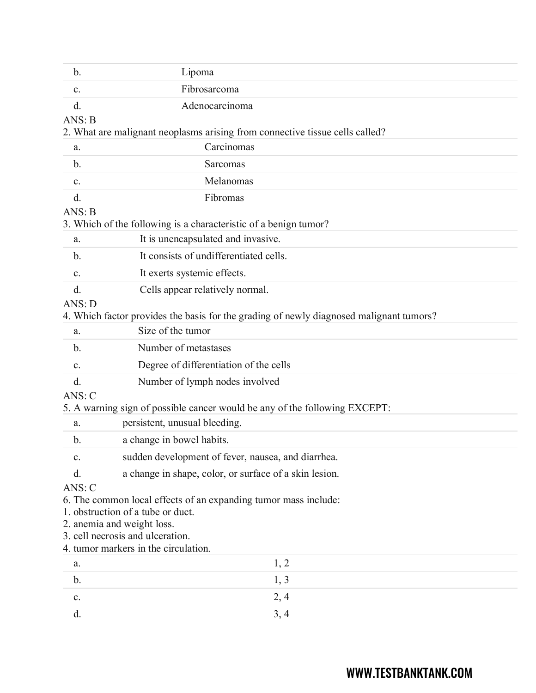| b.            | Lipoma                                                                                               |  |  |  |  |
|---------------|------------------------------------------------------------------------------------------------------|--|--|--|--|
| c.            | Fibrosarcoma                                                                                         |  |  |  |  |
| d.            | Adenocarcinoma                                                                                       |  |  |  |  |
| ANS: B        |                                                                                                      |  |  |  |  |
|               | 2. What are malignant neoplasms arising from connective tissue cells called?                         |  |  |  |  |
| a.            | Carcinomas                                                                                           |  |  |  |  |
| b.            | Sarcomas                                                                                             |  |  |  |  |
| c.            | Melanomas                                                                                            |  |  |  |  |
| d.            | Fibromas                                                                                             |  |  |  |  |
| ANS: B        |                                                                                                      |  |  |  |  |
|               | 3. Which of the following is a characteristic of a benign tumor?                                     |  |  |  |  |
| a.            | It is unencapsulated and invasive.                                                                   |  |  |  |  |
| b.            | It consists of undifferentiated cells.                                                               |  |  |  |  |
| c.            | It exerts systemic effects.                                                                          |  |  |  |  |
| d.            | Cells appear relatively normal.                                                                      |  |  |  |  |
| ANS: D        |                                                                                                      |  |  |  |  |
|               | 4. Which factor provides the basis for the grading of newly diagnosed malignant tumors?              |  |  |  |  |
| a.            | Size of the tumor                                                                                    |  |  |  |  |
| b.            | Number of metastases                                                                                 |  |  |  |  |
| c.            | Degree of differentiation of the cells                                                               |  |  |  |  |
| d.            | Number of lymph nodes involved                                                                       |  |  |  |  |
| ANS: C        |                                                                                                      |  |  |  |  |
|               | 5. A warning sign of possible cancer would be any of the following EXCEPT:                           |  |  |  |  |
| a.            | persistent, unusual bleeding.                                                                        |  |  |  |  |
| $\mathbf b$ . | a change in bowel habits.                                                                            |  |  |  |  |
| c.            | sudden development of fever, nausea, and diarrhea.                                                   |  |  |  |  |
| d.            | a change in shape, color, or surface of a skin lesion.                                               |  |  |  |  |
| ANS: C        |                                                                                                      |  |  |  |  |
|               | 6. The common local effects of an expanding tumor mass include:<br>1. obstruction of a tube or duct. |  |  |  |  |
|               | 2. anemia and weight loss.                                                                           |  |  |  |  |
|               | 3. cell necrosis and ulceration.                                                                     |  |  |  |  |
|               | 4. tumor markers in the circulation.                                                                 |  |  |  |  |
| a.            | 1, 2                                                                                                 |  |  |  |  |
| b.            | 1, 3                                                                                                 |  |  |  |  |
| $\mathbf{C}.$ | 2, 4                                                                                                 |  |  |  |  |
| d.            | 3, 4                                                                                                 |  |  |  |  |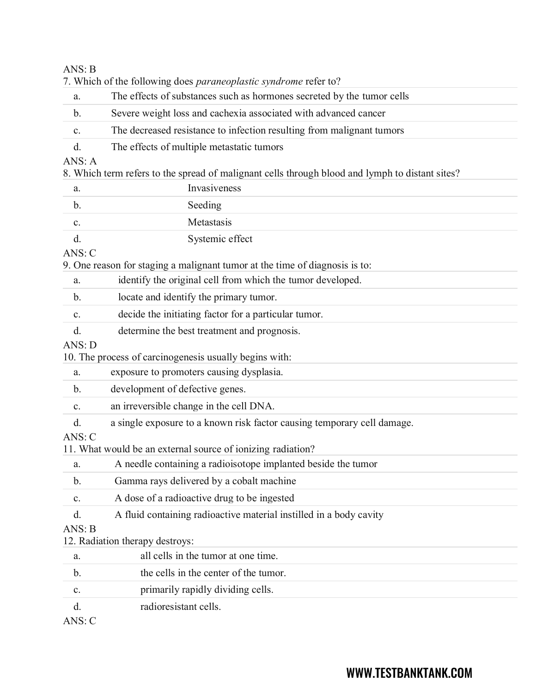#### ANS: B

|                | 7. Which of the following does <i>paraneoplastic syndrome</i> refer to?                         |  |  |  |  |  |
|----------------|-------------------------------------------------------------------------------------------------|--|--|--|--|--|
| a.             | The effects of substances such as hormones secreted by the tumor cells                          |  |  |  |  |  |
| b.             | Severe weight loss and cachexia associated with advanced cancer                                 |  |  |  |  |  |
| $\mathbf{C}$ . | The decreased resistance to infection resulting from malignant tumors                           |  |  |  |  |  |
| d.             | The effects of multiple metastatic tumors                                                       |  |  |  |  |  |
| ANS: A         |                                                                                                 |  |  |  |  |  |
|                | 8. Which term refers to the spread of malignant cells through blood and lymph to distant sites? |  |  |  |  |  |
| a.             | Invasiveness                                                                                    |  |  |  |  |  |
| b.             | Seeding                                                                                         |  |  |  |  |  |
| $\mathbf{C}$ . | Metastasis                                                                                      |  |  |  |  |  |
| d.             | Systemic effect                                                                                 |  |  |  |  |  |
| ANS: C         |                                                                                                 |  |  |  |  |  |
|                | 9. One reason for staging a malignant tumor at the time of diagnosis is to:                     |  |  |  |  |  |
| a.             | identify the original cell from which the tumor developed.                                      |  |  |  |  |  |
| $\mathbf{b}$ . | locate and identify the primary tumor.                                                          |  |  |  |  |  |
| $\mathbf{C}$ . | decide the initiating factor for a particular tumor.                                            |  |  |  |  |  |
| d.             | determine the best treatment and prognosis.                                                     |  |  |  |  |  |
| ANS: D         |                                                                                                 |  |  |  |  |  |
|                | 10. The process of carcinogenesis usually begins with:                                          |  |  |  |  |  |
| a.             | exposure to promoters causing dysplasia.                                                        |  |  |  |  |  |
| $\mathbf b$ .  | development of defective genes.                                                                 |  |  |  |  |  |
| c.             | an irreversible change in the cell DNA.                                                         |  |  |  |  |  |
| d.             | a single exposure to a known risk factor causing temporary cell damage.                         |  |  |  |  |  |
| ANS: C         |                                                                                                 |  |  |  |  |  |
|                | 11. What would be an external source of ionizing radiation?                                     |  |  |  |  |  |
| a.             | A needle containing a radioisotope implanted beside the tumor                                   |  |  |  |  |  |
| $\mathbf b$ .  | Gamma rays delivered by a cobalt machine                                                        |  |  |  |  |  |
| c.             | A dose of a radioactive drug to be ingested                                                     |  |  |  |  |  |
| d.             | A fluid containing radioactive material instilled in a body cavity                              |  |  |  |  |  |
| ANS: B         |                                                                                                 |  |  |  |  |  |
|                | 12. Radiation therapy destroys:                                                                 |  |  |  |  |  |
| a.             | all cells in the tumor at one time.                                                             |  |  |  |  |  |
| $\mathbf b$ .  | the cells in the center of the tumor.                                                           |  |  |  |  |  |
| c.             | primarily rapidly dividing cells.                                                               |  |  |  |  |  |
| d.             | radioresistant cells.                                                                           |  |  |  |  |  |
|                |                                                                                                 |  |  |  |  |  |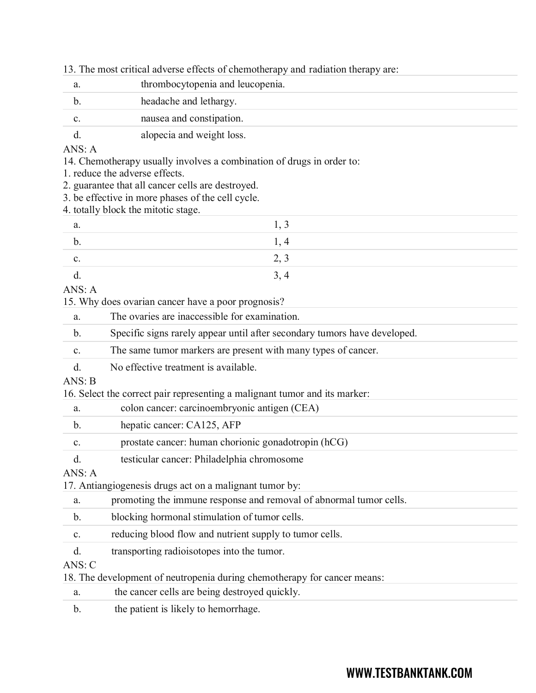| 13. The most critical adverse effects of chemotherapy and radiation therapy are: |  |  |  |  |  |
|----------------------------------------------------------------------------------|--|--|--|--|--|
|                                                                                  |  |  |  |  |  |

|                | 13. The most critical adverse effects of chemotherapy and radiation therapy are: |
|----------------|----------------------------------------------------------------------------------|
| a.             | thrombocytopenia and leucopenia.                                                 |
| b.             | headache and lethargy.                                                           |
| c.             | nausea and constipation.                                                         |
| d.             | alopecia and weight loss.                                                        |
| ANS: A         |                                                                                  |
|                | 14. Chemotherapy usually involves a combination of drugs in order to:            |
|                | 1. reduce the adverse effects.                                                   |
|                | 2. guarantee that all cancer cells are destroyed.                                |
|                | 3. be effective in more phases of the cell cycle.                                |
|                | 4. totally block the mitotic stage.                                              |
| a.             | 1, 3                                                                             |
| b.             | 1, 4                                                                             |
| c.             | 2, 3                                                                             |
| d.             | 3, 4                                                                             |
| ANS: A         |                                                                                  |
|                | 15. Why does ovarian cancer have a poor prognosis?                               |
| a.             | The ovaries are inaccessible for examination.                                    |
| $\mathbf{b}$ . | Specific signs rarely appear until after secondary tumors have developed.        |
| c.             | The same tumor markers are present with many types of cancer.                    |
| d.             | No effective treatment is available.                                             |
| ANS: B         |                                                                                  |
|                | 16. Select the correct pair representing a malignant tumor and its marker:       |
| a.             | colon cancer: carcinoembryonic antigen (CEA)                                     |
| b.             | hepatic cancer: CA125, AFP                                                       |
| c.             | prostate cancer: human chorionic gonadotropin (hCG)                              |
| d.             | testicular cancer: Philadelphia chromosome                                       |
| ANS: A         |                                                                                  |
|                | 17. Antiangiogenesis drugs act on a malignant tumor by:                          |
| a.             | promoting the immune response and removal of abnormal tumor cells.               |
| $\mathbf{b}$ . | blocking hormonal stimulation of tumor cells.                                    |
| c.             | reducing blood flow and nutrient supply to tumor cells.                          |
| d.             | transporting radioisotopes into the tumor.                                       |
| ANS: C         |                                                                                  |
|                | 18. The development of neutropenia during chemotherapy for cancer means:         |

|  | the cancer cells are being destroyed quickly. |  |  |  |
|--|-----------------------------------------------|--|--|--|
|--|-----------------------------------------------|--|--|--|

b. the patient is likely to hemorrhage.